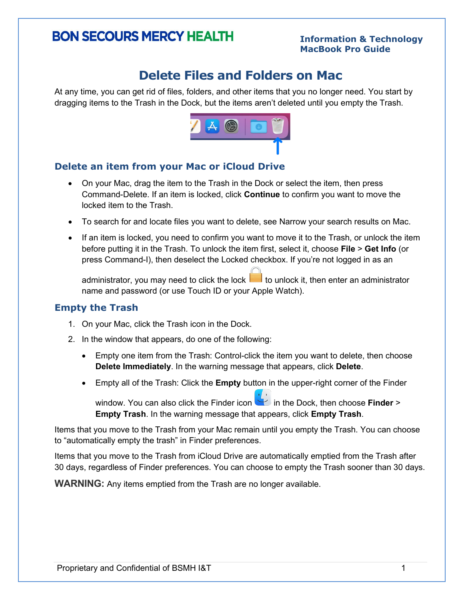# **BON SECOURS MERCY HEALTH**

#### **Information & Technology MacBook Pro Guide**

# **Delete Files and Folders on Mac**

At any time, you can get rid of files, folders, and other items that you no longer need. You start by dragging items to the Trash in the Dock, but the items aren't deleted until you empty the Trash.



# **Delete an item from your Mac or iCloud Drive**

- On your Mac, [drag the item](https://support.apple.com/guide/mac-help/aside/gloscb577d7d/12.0/mac/12.0) to the Trash in the [Dock](https://support.apple.com/guide/mac-help/aside/glosc3855c74/12.0/mac/12.0) or [select](https://support.apple.com/guide/mac-help/aside/glos3b057c3a/12.0/mac/12.0) the item, then press Command-Delete. If an item is locked, click **Continue** to confirm you want to move the locked item to the Trash.
- To search for and locate files you want to delete, see [Narrow your search results on Mac.](https://support.apple.com/guide/mac-help/narrow-search-results-mh15155/12.0/mac/12.0)
- If an item is locked, you need to confirm you want to move it to the Trash, or unlock the item before putting it in the Trash. To unlock the item first, select it, choose **File** > **Get Info** (or press Command-I), then deselect the Locked checkbox. If you're not logged in as an

administrator, you may need to click the lock  $\Box$  to unlock it, then enter an administrator name and password (or use [Touch ID](https://support.apple.com/guide/mac-help/aside/glosc8aef3dc/12.0/mac/12.0) or your Apple Watch).

#### **Empty the Trash**

- 1. On your Mac, click the Trash icon in the [Dock.](https://support.apple.com/guide/mac-help/aside/glosc3855c74/12.0/mac/12.0)
- 2. In the window that appears, do one of the following:
	- Empty one item from the Trash: Control-click the item you want to delete, then choose **Delete Immediately**. In the warning message that appears, click **Delete**.
	- Empty all of the Trash: Click the **Empty** button in the upper-right corner of the Finder

window. You can also click the Finder icon in the Dock, then choose **Finder** > **Empty Trash**. In the warning message that appears, click **Empty Trash**.

Items that you move to the Trash from your Mac remain until you empty the Trash. You can choose to "automatically empty the trash" in Finder preferences.

Items that you move to the Trash from iCloud Drive are automatically emptied from the Trash after 30 days, regardless of Finder preferences. You can choose to empty the Trash sooner than 30 days.

**WARNING:** Any items emptied from the Trash are no longer available.